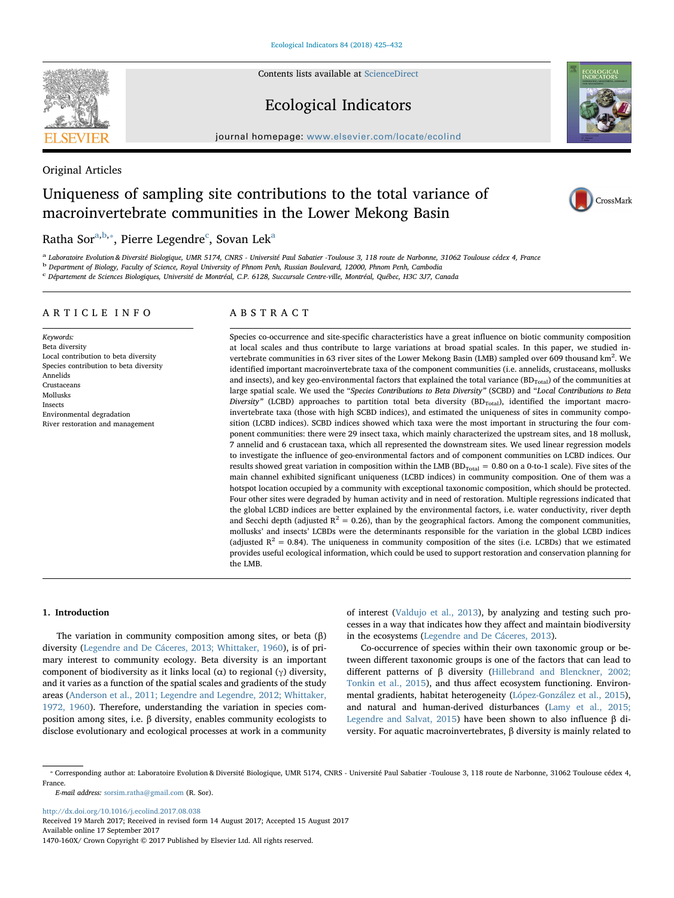Contents lists available at [ScienceDirect](http://www.sciencedirect.com/science/journal/1470160X)

# Ecological Indicators

journal homepage: [www.elsevier.com/locate/ecolind](http://www.elsevier.com/locate/ecolind)

Original Articles

# Uniqueness of sampling site contributions to the total variance of macroinvertebrate communities in the Lower Mekong Basin

# R[a](#page-0-0)tha Sor $^{\mathrm{a,b,*}}$  $^{\mathrm{a,b,*}}$  $^{\mathrm{a,b,*}}$  $^{\mathrm{a,b,*}}$ , Pierre Legendre $^{\mathrm{c}}$  $^{\mathrm{c}}$  $^{\mathrm{c}}$ , Sovan Lek $^{\mathrm{a}}$

<span id="page-0-0"></span>Laboratoire Evolution & Diversité Biologique, UMR 5174, CNRS - Université Paul Sabatier -Toulouse 3, 118 route de Narbonne, 31062 Toulouse cédex 4, France

<span id="page-0-1"></span><sup>b</sup> Department of Biology, Faculty of Science, Royal University of Phnom Penh, Russian Boulevard, 12000, Phnom Penh, Cambodia

<span id="page-0-3"></span><sup>c</sup> Département de Sciences Biologiques, Université de Montréal, C.P. 6128, Succursale Centre-ville, Montréal, Québec, H3C 3J7, Canada

## ARTICLE INFO

Keywords: Beta diversity Local contribution to beta diversity Species contribution to beta diversity Annelids Crustaceans Mollusks Insects Environmental degradation River restoration and management

# ABSTRACT

Species co-occurrence and site-specific characteristics have a great influence on biotic community composition at local scales and thus contribute to large variations at broad spatial scales. In this paper, we studied invertebrate communities in 63 river sites of the Lower Mekong Basin (LMB) sampled over 609 thousand km<sup>2</sup>. We identified important macroinvertebrate taxa of the component communities (i.e. annelids, crustaceans, mollusks and insects), and key geo-environmental factors that explained the total variance  $(BD<sub>Total</sub>)$  of the communities at large spatial scale. We used the "Species Contributions to Beta Diversity" (SCBD) and "Local Contributions to Beta Diversity" (LCBD) approaches to partition total beta diversity  $(BD_{Total})$ , identified the important macroinvertebrate taxa (those with high SCBD indices), and estimated the uniqueness of sites in community composition (LCBD indices). SCBD indices showed which taxa were the most important in structuring the four component communities: there were 29 insect taxa, which mainly characterized the upstream sites, and 18 mollusk, 7 annelid and 6 crustacean taxa, which all represented the downstream sites. We used linear regression models to investigate the influence of geo-environmental factors and of component communities on LCBD indices. Our results showed great variation in composition within the LMB ( $BD_{Total} = 0.80$  on a 0-to-1 scale). Five sites of the main channel exhibited significant uniqueness (LCBD indices) in community composition. One of them was a hotspot location occupied by a community with exceptional taxonomic composition, which should be protected. Four other sites were degraded by human activity and in need of restoration. Multiple regressions indicated that the global LCBD indices are better explained by the environmental factors, i.e. water conductivity, river depth and Secchi depth (adjusted  $R^2 = 0.26$ ), than by the geographical factors. Among the component communities, mollusks' and insects' LCBDs were the determinants responsible for the variation in the global LCBD indices (adjusted  $R^2 = 0.84$ ). The uniqueness in community composition of the sites (i.e. LCBDs) that we estimated provides useful ecological information, which could be used to support restoration and conservation planning for the LMB.

#### 1. Introduction

The variation in community composition among sites, or beta (β) diversity [\(Legendre and De Cáceres, 2013; Whittaker, 1960](#page-7-0)), is of primary interest to community ecology. Beta diversity is an important component of biodiversity as it links local ( $α$ ) to regional ( $γ$ ) diversity, and it varies as a function of the spatial scales and gradients of the study areas [\(Anderson et al., 2011; Legendre and Legendre, 2012; Whittaker,](#page-6-0) [1972, 1960](#page-6-0)). Therefore, understanding the variation in species composition among sites, i.e. β diversity, enables community ecologists to disclose evolutionary and ecological processes at work in a community

of interest ([Valdujo et al., 2013\)](#page-7-1), by analyzing and testing such processes in a way that indicates how they affect and maintain biodiversity in the ecosystems ([Legendre and De Cáceres, 2013](#page-7-0)).

Co-occurrence of species within their own taxonomic group or between different taxonomic groups is one of the factors that can lead to different patterns of β diversity ([Hillebrand and Blenckner, 2002;](#page-7-2) [Tonkin et al., 2015\)](#page-7-2), and thus affect ecosystem functioning. Environmental gradients, habitat heterogeneity [\(López-González et al., 2015](#page-7-3)), and natural and human-derived disturbances ([Lamy et al., 2015;](#page-7-4) [Legendre and Salvat, 2015\)](#page-7-4) have been shown to also influence β diversity. For aquatic macroinvertebrates, β diversity is mainly related to

E-mail address: [sorsim.ratha@gmail.com](mailto:sorsim.ratha@gmail.com) (R. Sor).

<http://dx.doi.org/10.1016/j.ecolind.2017.08.038> Received 19 March 2017; Received in revised form 14 August 2017; Accepted 15 August 2017

Available online 17 September 2017





CrossMark

<span id="page-0-2"></span><sup>⁎</sup> Corresponding author at: Laboratoire Evolution & Diversité Biologique, UMR 5174, CNRS - Université Paul Sabatier -Toulouse 3, 118 route de Narbonne, 31062 Toulouse cédex 4, France.

<sup>1470-160</sup>X/ Crown Copyright © 2017 Published by Elsevier Ltd. All rights reserved.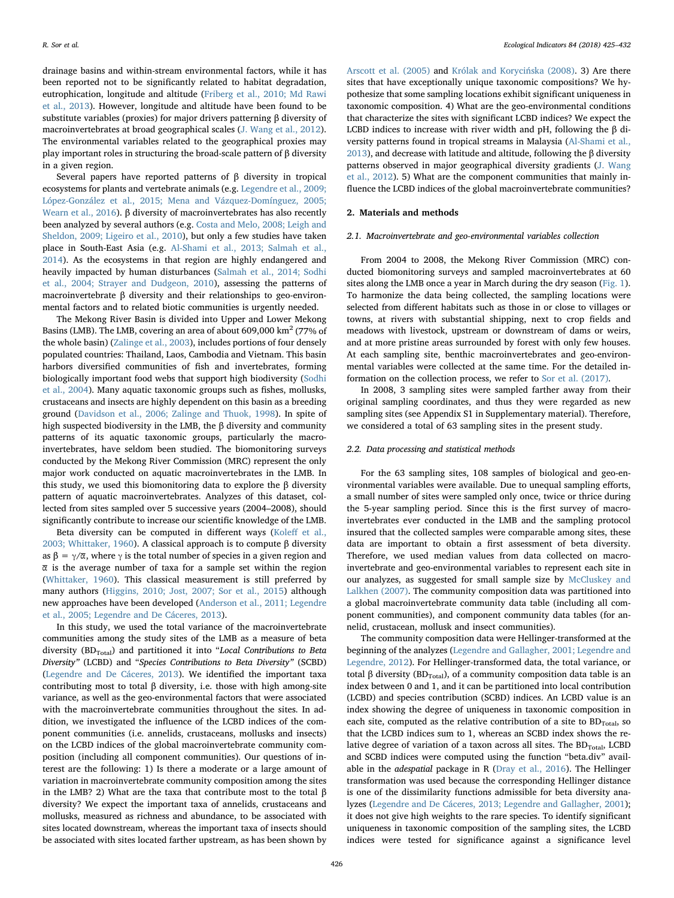drainage basins and within-stream environmental factors, while it has been reported not to be significantly related to habitat degradation, eutrophication, longitude and altitude ([Friberg et al., 2010; Md Rawi](#page-7-5) [et al., 2013](#page-7-5)). However, longitude and altitude have been found to be substitute variables (proxies) for major drivers patterning β diversity of macroinvertebrates at broad geographical scales ([J. Wang et al., 2012](#page-7-6)). The environmental variables related to the geographical proxies may play important roles in structuring the broad-scale pattern of β diversity in a given region.

Several papers have reported patterns of β diversity in tropical ecosystems for plants and vertebrate animals (e.g. [Legendre et al., 2009;](#page-7-7) [López-González et al., 2015; Mena and Vázquez-Domínguez, 2005;](#page-7-7) [Wearn et al., 2016\)](#page-7-7). β diversity of macroinvertebrates has also recently been analyzed by several authors (e.g. [Costa and Melo, 2008; Leigh and](#page-6-1) [Sheldon, 2009; Ligeiro et al., 2010](#page-6-1)), but only a few studies have taken place in South-East Asia (e.g. [Al-Shami et al., 2013; Salmah et al.,](#page-6-2) [2014\)](#page-6-2). As the ecosystems in that region are highly endangered and heavily impacted by human disturbances [\(Salmah et al., 2014; Sodhi](#page-7-8) [et al., 2004; Strayer and Dudgeon, 2010](#page-7-8)), assessing the patterns of macroinvertebrate β diversity and their relationships to geo-environmental factors and to related biotic communities is urgently needed.

The Mekong River Basin is divided into Upper and Lower Mekong Basins (LMB). The LMB, covering an area of about  $609,000 \text{ km}^2$  (77% of the whole basin) ([Zalinge et al., 2003\)](#page-7-9), includes portions of four densely populated countries: Thailand, Laos, Cambodia and Vietnam. This basin harbors diversified communities of fish and invertebrates, forming biologically important food webs that support high biodiversity ([Sodhi](#page-7-10) [et al., 2004](#page-7-10)). Many aquatic taxonomic groups such as fishes, mollusks, crustaceans and insects are highly dependent on this basin as a breeding ground ([Davidson et al., 2006; Zalinge and Thuok, 1998](#page-7-11)). In spite of high suspected biodiversity in the LMB, the β diversity and community patterns of its aquatic taxonomic groups, particularly the macroinvertebrates, have seldom been studied. The biomonitoring surveys conducted by the Mekong River Commission (MRC) represent the only major work conducted on aquatic macroinvertebrates in the LMB. In this study, we used this biomonitoring data to explore the β diversity pattern of aquatic macroinvertebrates. Analyzes of this dataset, collected from sites sampled over 5 successive years (2004–2008), should significantly contribute to increase our scientific knowledge of the LMB.

Beta diversity can be computed in different ways (Koleff [et al.,](#page-7-12) [2003; Whittaker, 1960](#page-7-12)). A classical approach is to compute β diversity as  $\beta = \gamma/\overline{\alpha}$ , where  $\gamma$  is the total number of species in a given region and  $\bar{\alpha}$  is the average number of taxa for a sample set within the region ([Whittaker, 1960](#page-7-13)). This classical measurement is still preferred by many authors ([Higgins, 2010; Jost, 2007; Sor et al., 2015\)](#page-7-14) although new approaches have been developed [\(Anderson et al., 2011; Legendre](#page-6-0) [et al., 2005; Legendre and De Cáceres, 2013\)](#page-6-0).

In this study, we used the total variance of the macroinvertebrate communities among the study sites of the LMB as a measure of beta diversity (BD<sub>Total</sub>) and partitioned it into "Local Contributions to Beta Diversity" (LCBD) and "Species Contributions to Beta Diversity" (SCBD) ([Legendre and De Cáceres, 2013\)](#page-7-0). We identified the important taxa contributing most to total β diversity, i.e. those with high among-site variance, as well as the geo-environmental factors that were associated with the macroinvertebrate communities throughout the sites. In addition, we investigated the influence of the LCBD indices of the component communities (i.e. annelids, crustaceans, mollusks and insects) on the LCBD indices of the global macroinvertebrate community composition (including all component communities). Our questions of interest are the following: 1) Is there a moderate or a large amount of variation in macroinvertebrate community composition among the sites in the LMB? 2) What are the taxa that contribute most to the total β diversity? We expect the important taxa of annelids, crustaceans and mollusks, measured as richness and abundance, to be associated with sites located downstream, whereas the important taxa of insects should be associated with sites located farther upstream, as has been shown by

[Arscott et al. \(2005\)](#page-6-3) and [Królak and Koryci](#page-7-15)ńska (2008). 3) Are there sites that have exceptionally unique taxonomic compositions? We hypothesize that some sampling locations exhibit significant uniqueness in taxonomic composition. 4) What are the geo-environmental conditions that characterize the sites with significant LCBD indices? We expect the LCBD indices to increase with river width and pH, following the β diversity patterns found in tropical streams in Malaysia ([Al-Shami et al.,](#page-6-2) [2013\)](#page-6-2), and decrease with latitude and altitude, following the β diversity patterns observed in major geographical diversity gradients [\(J. Wang](#page-7-6) [et al., 2012](#page-7-6)). 5) What are the component communities that mainly influence the LCBD indices of the global macroinvertebrate communities?

## 2. Materials and methods

#### 2.1. Macroinvertebrate and geo-environmental variables collection

From 2004 to 2008, the Mekong River Commission (MRC) conducted biomonitoring surveys and sampled macroinvertebrates at 60 sites along the LMB once a year in March during the dry season ([Fig. 1](#page-2-0)). To harmonize the data being collected, the sampling locations were selected from different habitats such as those in or close to villages or towns, at rivers with substantial shipping, next to crop fields and meadows with livestock, upstream or downstream of dams or weirs, and at more pristine areas surrounded by forest with only few houses. At each sampling site, benthic macroinvertebrates and geo-environmental variables were collected at the same time. For the detailed information on the collection process, we refer to [Sor et al. \(2017\).](#page-7-16)

In 2008, 3 sampling sites were sampled farther away from their original sampling coordinates, and thus they were regarded as new sampling sites (see Appendix S1 in Supplementary material). Therefore, we considered a total of 63 sampling sites in the present study.

### 2.2. Data processing and statistical methods

For the 63 sampling sites, 108 samples of biological and geo-environmental variables were available. Due to unequal sampling efforts, a small number of sites were sampled only once, twice or thrice during the 5-year sampling period. Since this is the first survey of macroinvertebrates ever conducted in the LMB and the sampling protocol insured that the collected samples were comparable among sites, these data are important to obtain a first assessment of beta diversity. Therefore, we used median values from data collected on macroinvertebrate and geo-environmental variables to represent each site in our analyzes, as suggested for small sample size by [McCluskey and](#page-7-17) [Lalkhen \(2007\).](#page-7-17) The community composition data was partitioned into a global macroinvertebrate community data table (including all component communities), and component community data tables (for annelid, crustacean, mollusk and insect communities).

The community composition data were Hellinger-transformed at the beginning of the analyzes ([Legendre and Gallagher, 2001; Legendre and](#page-7-18) [Legendre, 2012](#page-7-18)). For Hellinger-transformed data, the total variance, or total β diversity (BD<sub>Total</sub>), of a community composition data table is an index between 0 and 1, and it can be partitioned into local contribution (LCBD) and species contribution (SCBD) indices. An LCBD value is an index showing the degree of uniqueness in taxonomic composition in each site, computed as the relative contribution of a site to  $BD<sub>Total</sub>$ , so that the LCBD indices sum to 1, whereas an SCBD index shows the relative degree of variation of a taxon across all sites. The  $BD<sub>Total</sub>$ , LCBD and SCBD indices were computed using the function "beta.div" available in the adespatial package in R ([Dray et al., 2016](#page-7-19)). The Hellinger transformation was used because the corresponding Hellinger distance is one of the dissimilarity functions admissible for beta diversity analyzes [\(Legendre and De Cáceres, 2013; Legendre and Gallagher, 2001](#page-7-0)); it does not give high weights to the rare species. To identify significant uniqueness in taxonomic composition of the sampling sites, the LCBD indices were tested for significance against a significance level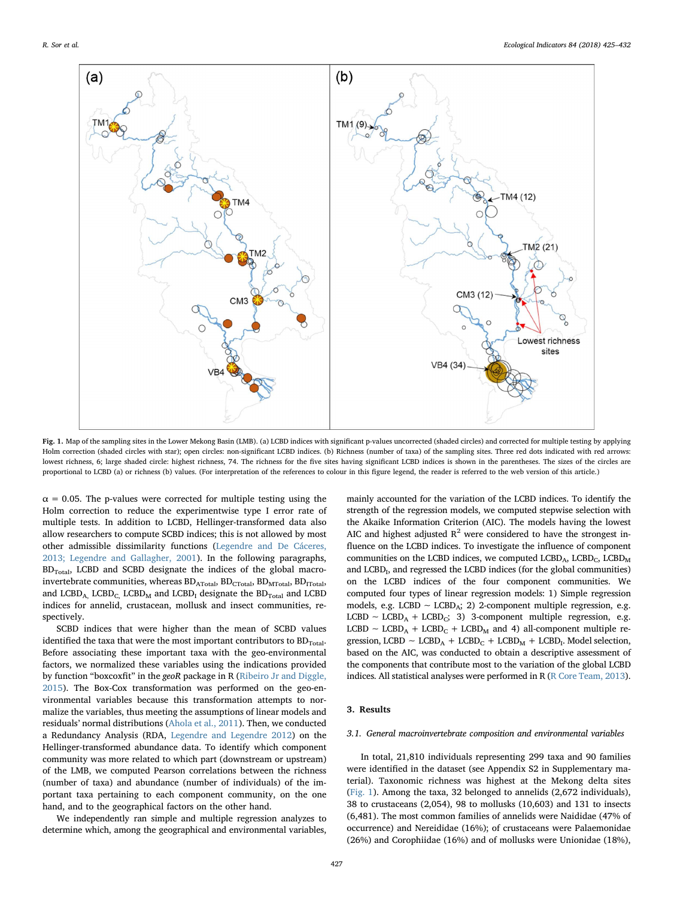<span id="page-2-0"></span>

Fig. 1. Map of the sampling sites in the Lower Mekong Basin (LMB). (a) LCBD indices with significant p-values uncorrected (shaded circles) and corrected for multiple testing by applying Holm correction (shaded circles with star); open circles: non-significant LCBD indices. (b) Richness (number of taxa) of the sampling sites. Three red dots indicated with red arrows: lowest richness, 6; large shaded circle: highest richness, 74. The richness for the five sites having significant LCBD indices is shown in the parentheses. The sizes of the circles are proportional to LCBD (a) or richness (b) values. (For interpretation of the references to colour in this figure legend, the reader is referred to the web version of this article.)

 $\alpha$  = 0.05. The p-values were corrected for multiple testing using the Holm correction to reduce the experimentwise type I error rate of multiple tests. In addition to LCBD, Hellinger-transformed data also allow researchers to compute SCBD indices; this is not allowed by most other admissible dissimilarity functions [\(Legendre and De Cáceres,](#page-7-0) [2013; Legendre and Gallagher, 2001\)](#page-7-0). In the following paragraphs,  $BD$ <sub>Total</sub>, LCBD and SCBD designate the indices of the global macroinvertebrate communities, whereas  $BD_{ATotal}$ ,  $BD_{CTotal}$ ,  $BD_{MTotal}$ ,  $BD_{TTotal}$ , and  $LCD_{A}$ ,  $LCD_{C}$ ,  $LCD_{M}$  and  $LCD_{I}$  designate the  $BD_{Total}$  and  $LCDD_{H}$ indices for annelid, crustacean, mollusk and insect communities, respectively.

SCBD indices that were higher than the mean of SCBD values identified the taxa that were the most important contributors to  $BD_{Total}$ . Before associating these important taxa with the geo-environmental factors, we normalized these variables using the indications provided by function "boxcoxfit" in the geoR package in R ([Ribeiro Jr and Diggle,](#page-7-20) [2015\)](#page-7-20). The Box-Cox transformation was performed on the geo-environmental variables because this transformation attempts to normalize the variables, thus meeting the assumptions of linear models and residuals' normal distributions [\(Ahola et al., 2011](#page-6-4)). Then, we conducted a Redundancy Analysis (RDA, [Legendre and Legendre 2012](#page-7-21)) on the Hellinger-transformed abundance data. To identify which component community was more related to which part (downstream or upstream) of the LMB, we computed Pearson correlations between the richness (number of taxa) and abundance (number of individuals) of the important taxa pertaining to each component community, on the one hand, and to the geographical factors on the other hand.

We independently ran simple and multiple regression analyzes to determine which, among the geographical and environmental variables,

mainly accounted for the variation of the LCBD indices. To identify the strength of the regression models, we computed stepwise selection with the Akaike Information Criterion (AIC). The models having the lowest AIC and highest adjusted  $R^2$  were considered to have the strongest influence on the LCBD indices. To investigate the influence of component communities on the LCBD indices, we computed  $\text{LCBD}_A$ ,  $\text{LCBD}_C$ ,  $\text{LCBD}_M$ and  $LCD<sub>b</sub>$ , and regressed the LCBD indices (for the global communities) on the LCBD indices of the four component communities. We computed four types of linear regression models: 1) Simple regression models, e.g. LCBD ∼ LCBDA; 2) 2-component multiple regression, e.g. LCBD ~ LCBD<sub>A</sub> + LCBD<sub>C</sub>; 3) 3-component multiple regression, e.g. LCBD ~ LCBD<sub>A</sub> + LCBD<sub>C</sub> + LCBD<sub>M</sub> and 4) all-component multiple regression, LCBD  $~\sim$  LCBD<sub>A</sub> + LCBD<sub>C</sub> + LCBD<sub>M</sub> + LCBD<sub>I</sub>. Model selection, based on the AIC, was conducted to obtain a descriptive assessment of the components that contribute most to the variation of the global LCBD indices. All statistical analyses were performed in R ([R Core Team, 2013\)](#page-7-22).

## 3. Results

## 3.1. General macroinvertebrate composition and environmental variables

In total, 21,810 individuals representing 299 taxa and 90 families were identified in the dataset (see Appendix S2 in Supplementary material). Taxonomic richness was highest at the Mekong delta sites ([Fig. 1\)](#page-2-0). Among the taxa, 32 belonged to annelids (2,672 individuals), 38 to crustaceans (2,054), 98 to mollusks (10,603) and 131 to insects (6,481). The most common families of annelids were Naididae (47% of occurrence) and Nereididae (16%); of crustaceans were Palaemonidae (26%) and Corophiidae (16%) and of mollusks were Unionidae (18%),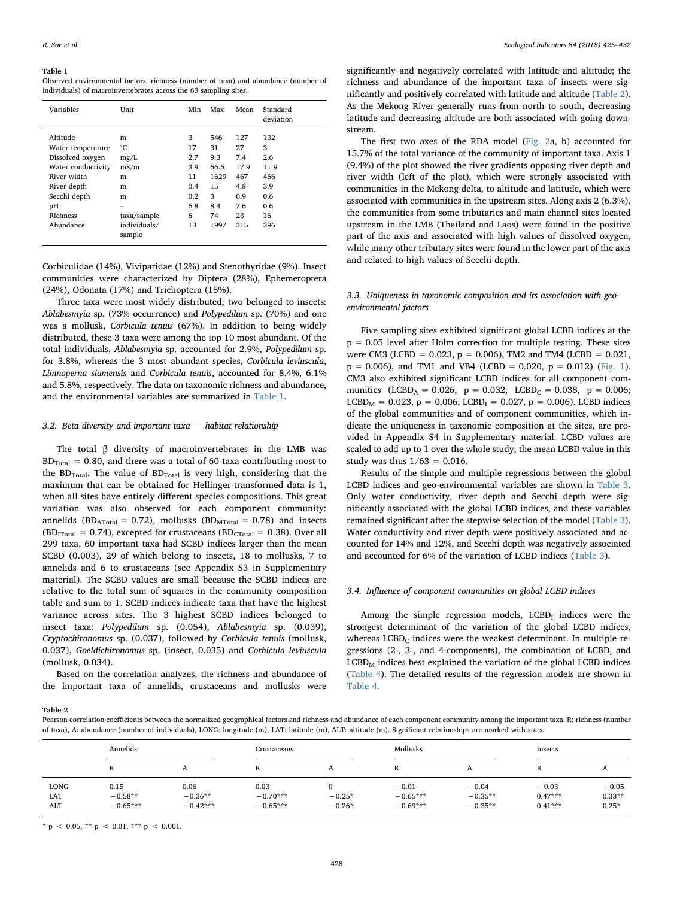#### <span id="page-3-0"></span>Table 1

Observed environmental factors, richness (number of taxa) and abundance (number of individuals) of macroinvertebrates across the 63 sampling sites.

| Variables                                                                                                                                            | Unit                                                                                 | Min                                                         | Max                                                              | Mean                                                              | Standard<br>deviation                                            |
|------------------------------------------------------------------------------------------------------------------------------------------------------|--------------------------------------------------------------------------------------|-------------------------------------------------------------|------------------------------------------------------------------|-------------------------------------------------------------------|------------------------------------------------------------------|
| Altitude<br>Water temperature<br>Dissolved oxygen<br>Water conductivity<br>River width<br>River depth<br>Secchi depth<br>рH<br>Richness<br>Abundance | m<br>°С<br>mg/L<br>mS/m<br>m<br>m<br>m<br>-<br>taxa/sample<br>individuals/<br>sample | 3<br>17<br>2.7<br>3.9<br>11<br>0.4<br>0.2<br>6.8<br>6<br>13 | 546<br>31<br>9.3<br>66.6<br>1629<br>15<br>3<br>8.4<br>74<br>1997 | 127<br>27<br>7.4<br>17.9<br>467<br>4.8<br>0.9<br>7.6<br>23<br>315 | 132<br>3<br>2.6<br>11.9<br>466<br>3.9<br>0.6<br>0.6<br>16<br>396 |

Corbiculidae (14%), Viviparidae (12%) and Stenothyridae (9%). Insect communities were characterized by Diptera (28%), Ephemeroptera (24%), Odonata (17%) and Trichoptera (15%).

Three taxa were most widely distributed; two belonged to insects: Ablabesmyia sp. (73% occurrence) and Polypedilum sp. (70%) and one was a mollusk, Corbicula tenuis (67%). In addition to being widely distributed, these 3 taxa were among the top 10 most abundant. Of the total individuals, Ablabesmyia sp. accounted for 2.9%, Polypedilum sp. for 3.8%, whereas the 3 most abundant species, Corbicula leviuscula, Limnoperna siamensis and Corbicula tenuis, accounted for 8.4%, 6.1% and 5.8%, respectively. The data on taxonomic richness and abundance, and the environmental variables are summarized in [Table 1](#page-3-0).

#### 3.2. Beta diversity and important taxa  $-$  habitat relationship

The total β diversity of macroinvertebrates in the LMB was  $BD_{Total} = 0.80$ , and there was a total of 60 taxa contributing most to the  $BD<sub>Total</sub>$ . The value of  $BD<sub>Total</sub>$  is very high, considering that the maximum that can be obtained for Hellinger-transformed data is 1, when all sites have entirely different species compositions. This great variation was also observed for each component community: annelids (BD<sub>ATotal</sub> = 0.72), mollusks (BD<sub>MTotal</sub> = 0.78) and insects  $(BD_{ITotal} = 0.74)$ , excepted for crustaceans  $(BD_{CTotal} = 0.38)$ . Over all 299 taxa, 60 important taxa had SCBD indices larger than the mean SCBD (0.003), 29 of which belong to insects, 18 to mollusks, 7 to annelids and 6 to crustaceans (see Appendix S3 in Supplementary material). The SCBD values are small because the SCBD indices are relative to the total sum of squares in the community composition table and sum to 1. SCBD indices indicate taxa that have the highest variance across sites. The 3 highest SCBD indices belonged to insect taxa: Polypedilum sp. (0.054), Ablabesmyia sp. (0.039), Cryptochironomus sp. (0.037), followed by Corbicula tenuis (mollusk, 0.037), Goeldichironomus sp. (insect, 0.035) and Corbicula leviuscula (mollusk, 0.034).

Based on the correlation analyzes, the richness and abundance of the important taxa of annelids, crustaceans and mollusks were

significantly and negatively correlated with latitude and altitude; the richness and abundance of the important taxa of insects were significantly and positively correlated with latitude and altitude [\(Table 2](#page-3-1)). As the Mekong River generally runs from north to south, decreasing latitude and decreasing altitude are both associated with going downstream.

The first two axes of the RDA model ([Fig. 2](#page-4-0)a, b) accounted for 15.7% of the total variance of the community of important taxa. Axis 1 (9.4%) of the plot showed the river gradients opposing river depth and river width (left of the plot), which were strongly associated with communities in the Mekong delta, to altitude and latitude, which were associated with communities in the upstream sites. Along axis 2 (6.3%), the communities from some tributaries and main channel sites located upstream in the LMB (Thailand and Laos) were found in the positive part of the axis and associated with high values of dissolved oxygen, while many other tributary sites were found in the lower part of the axis and related to high values of Secchi depth.

## 3.3. Uniqueness in taxonomic composition and its association with geoenvironmental factors

Five sampling sites exhibited significant global LCBD indices at the  $p = 0.05$  level after Holm correction for multiple testing. These sites were CM3 (LCBD =  $0.023$ , p = 0.006), TM2 and TM4 (LCBD =  $0.021$ ,  $p = 0.006$ ), and TM1 and VB4 (LCBD = 0.020,  $p = 0.012$ ) [\(Fig. 1](#page-2-0)). CM3 also exhibited significant LCBD indices for all component communities (LCBD<sub>A</sub> = 0.026, p = 0.032; LCBD<sub>C</sub> = 0.038, p = 0.006;  $LCD<sub>M</sub> = 0.023, p = 0.006; LCD<sub>I</sub> = 0.027, p = 0.006$ . LCBD indices of the global communities and of component communities, which indicate the uniqueness in taxonomic composition at the sites, are provided in Appendix S4 in Supplementary material. LCBD values are scaled to add up to 1 over the whole study; the mean LCBD value in this study was thus  $1/63 = 0.016$ .

Results of the simple and multiple regressions between the global LCBD indices and geo-environmental variables are shown in [Table 3](#page-4-1). Only water conductivity, river depth and Secchi depth were significantly associated with the global LCBD indices, and these variables remained significant after the stepwise selection of the model [\(Table 3](#page-4-1)). Water conductivity and river depth were positively associated and accounted for 14% and 12%, and Secchi depth was negatively associated and accounted for 6% of the variation of LCBD indices ([Table 3](#page-4-1)).

#### 3.4. Influence of component communities on global LCBD indices

Among the simple regression models,  $LCD<sub>I</sub>$  indices were the strongest determinant of the variation of the global LCBD indices, whereas  $LCD_{C}$  indices were the weakest determinant. In multiple regressions (2-, 3-, and 4-components), the combination of  $LCD<sub>I</sub>$  and  $LCD<sub>M</sub>$  indices best explained the variation of the global LCBD indices ([Table 4\)](#page-4-2). The detailed results of the regression models are shown in [Table 4](#page-4-2).

<span id="page-3-1"></span>Table 2

Pearson correlation coefficients between the normalized geographical factors and richness and abundance of each component community among the important taxa. R: richness (number of taxa), A: abundance (number of individuals), LONG: longitude (m), LAT: latitude (m), ALT: altitude (m). Significant relationships are marked with stars.

|                           | Annelids                        |                                 | Crustaceans                      |                                  | Mollusks                            |                                   | Insects                           |                                |
|---------------------------|---------------------------------|---------------------------------|----------------------------------|----------------------------------|-------------------------------------|-----------------------------------|-----------------------------------|--------------------------------|
|                           | R                               | A                               | A                                | A                                | R                                   |                                   | R                                 | A                              |
| <b>LONG</b><br>LAT<br>ALT | 0.15<br>$-0.58**$<br>$-0.65***$ | 0.06<br>$-0.36**$<br>$-0.42***$ | 0.03<br>$-0.70***$<br>$-0.65***$ | $\Omega$<br>$-0.25*$<br>$-0.26*$ | $-0.01$<br>$-0.65***$<br>$-0.69***$ | $-0.04$<br>$-0.35**$<br>$-0.35**$ | $-0.03$<br>$0.47***$<br>$0.41***$ | $-0.05$<br>$0.33**$<br>$0.25*$ |

\* p < 0.05, \*\* p < 0.01, \*\*\* p < 0.001.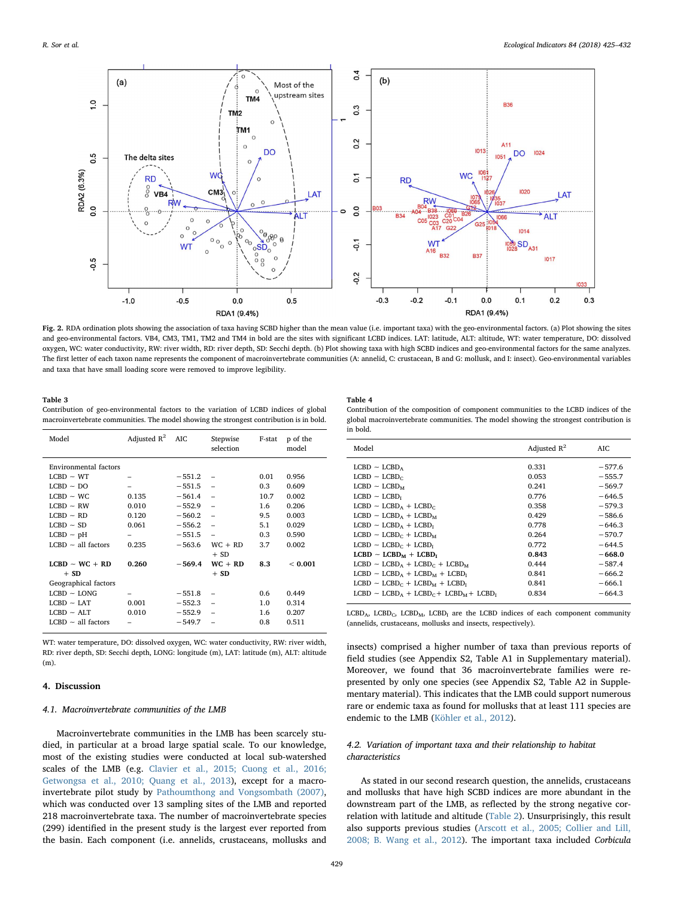<span id="page-4-0"></span>

Fig. 2. RDA ordination plots showing the association of taxa having SCBD higher than the mean value (i.e. important taxa) with the geo-environmental factors. (a) Plot showing the sites and geo-environmental factors. VB4, CM3, TM1, TM2 and TM4 in bold are the sites with significant LCBD indices. LAT: latitude, ALT: altitude, WT: water temperature, DO: dissolved oxygen, WC: water conductivity, RW: river width, RD: river depth, SD: Secchi depth. (b) Plot showing taxa with high SCBD indices and geo-environmental factors for the same analyzes. The first letter of each taxon name represents the component of macroinvertebrate communities (A: annelid, C: crustacean, B and G: mollusk, and I: insect). Geo-environmental variables and taxa that have small loading score were removed to improve legibility.

#### <span id="page-4-1"></span>Table 3

Contribution of geo-environmental factors to the variation of LCBD indices of global macroinvertebrate communities. The model showing the strongest contribution is in bold.

| Model                        | Adjusted $R^2$ | <b>AIC</b> | Stepwise<br>selection    | F-stat | p of the<br>model |
|------------------------------|----------------|------------|--------------------------|--------|-------------------|
| <b>Environmental factors</b> |                |            |                          |        |                   |
| $LCD - WT$                   |                | $-551.2$   |                          | 0.01   | 0.956             |
| $LCD \sim DO$                |                | $-551.5$   | $\equiv$                 | 0.3    | 0.609             |
| $LCBD \sim WC$               | 0.135          | $-561.4$   | $\overline{\phantom{a}}$ | 10.7   | 0.002             |
| $LCD - RW$                   | 0.010          | $-552.9$   | ÷                        | 1.6    | 0.206             |
| $LCD \sim RD$                | 0.120          | $-560.2$   | $\equiv$                 | 9.5    | 0.003             |
| $LCD \sim SD$                | 0.061          | $-556.2$   | $\overline{\phantom{m}}$ | 5.1    | 0.029             |
| $LCD - pH$                   |                | $-551.5$   | ÷                        | 0.3    | 0.590             |
| $LCBD \sim all factors$      | 0.235          | $-563.6$   | $WC + RD$                | 3.7    | 0.002             |
|                              |                |            | $+$ SD                   |        |                   |
| $LCD - WC + RD$              | 0.260          | $-569.4$   | $WC + RD$                | 8.3    | < 0.001           |
| $+$ SD                       |                |            | $+$ SD                   |        |                   |
| Geographical factors         |                |            |                          |        |                   |
| $LCD - LONG$                 |                | $-551.8$   |                          | 0.6    | 0.449             |
| $LCBD \sim LAT$              | 0.001          | $-552.3$   |                          | 1.0    | 0.314             |
| $LCBD \sim ALT$              | 0.010          | $-552.9$   |                          | 1.6    | 0.207             |
| $LCD \sim all factors$       |                | $-549.7$   |                          | 0.8    | 0.511             |
|                              |                |            |                          |        |                   |

WT: water temperature, DO: dissolved oxygen, WC: water conductivity, RW: river width, RD: river depth, SD: Secchi depth, LONG: longitude (m), LAT: latitude (m), ALT: altitude (m).

#### 4. Discussion

## 4.1. Macroinvertebrate communities of the LMB

Macroinvertebrate communities in the LMB has been scarcely studied, in particular at a broad large spatial scale. To our knowledge, most of the existing studies were conducted at local sub-watershed scales of the LMB (e.g. [Clavier et al., 2015; Cuong et al., 2016;](#page-6-5) [Getwongsa et al., 2010; Quang et al., 2013](#page-6-5)), except for a macroinvertebrate pilot study by [Pathoumthong and Vongsombath \(2007\)](#page-7-23), which was conducted over 13 sampling sites of the LMB and reported 218 macroinvertebrate taxa. The number of macroinvertebrate species (299) identified in the present study is the largest ever reported from the basin. Each component (i.e. annelids, crustaceans, mollusks and

#### <span id="page-4-2"></span>Table 4

| Contribution of the composition of component communities to the LCBD indices of the   |
|---------------------------------------------------------------------------------------|
| global macroinvertebrate communities. The model showing the strongest contribution is |
| in bold.                                                                              |

| Model                                 | Adjusted $R^2$ | AIC      |
|---------------------------------------|----------------|----------|
|                                       |                |          |
| $LCD \sim LCBD_A$                     | 0.331          | $-577.6$ |
| $LCD \sim LCBD_C$                     | 0.053          | $-555.7$ |
| $LCD \sim LCBD_{M}$                   | 0.241          | $-569.7$ |
| $LCD - LCBDr$                         | 0.776          | $-646.5$ |
| $LCD - LGBDA + LGBDC$                 | 0.358          | $-579.3$ |
| $LCD \sim LCBD_A + LCBD_M$            | 0.429          | $-586.6$ |
| $LCD - L CBDA + L CBDT$               | 0.778          | $-646.3$ |
| $LCD - LGBDc + LGBDM$                 | 0.264          | $-570.7$ |
| $LCD - L CBDc + LCD1$                 | 0.772          | $-644.5$ |
| $LCD - LGBDM + LGBDI$                 | 0.843          | $-668.0$ |
| $LCD - LGBDA + LGBDC + LGBDM$         | 0.444          | $-587.4$ |
| $LCD - LGBDA + LGBDM + LGBDI$         | 0.841          | $-666.2$ |
| $LCD - LGBD_C + LGBD_M + LGBD_T$      | 0.841          | $-666.1$ |
| $LCD - LGBDA + LGBDC + LGBDM + LGBDI$ | 0.834          | $-664.3$ |

 $LCD_{A}$ , LCBD<sub>C</sub>, LCBD<sub>M</sub>, LCBD<sub>I</sub> are the LCBD indices of each component community (annelids, crustaceans, mollusks and insects, respectively).

insects) comprised a higher number of taxa than previous reports of field studies (see Appendix S2, Table A1 in Supplementary material). Moreover, we found that 36 macroinvertebrate families were represented by only one species (see Appendix S2, Table A2 in Supplementary material). This indicates that the LMB could support numerous rare or endemic taxa as found for mollusks that at least 111 species are endemic to the LMB [\(Köhler et al., 2012](#page-7-24)).

# 4.2. Variation of important taxa and their relationship to habitat characteristics

As stated in our second research question, the annelids, crustaceans and mollusks that have high SCBD indices are more abundant in the downstream part of the LMB, as reflected by the strong negative correlation with latitude and altitude [\(Table 2\)](#page-3-1). Unsurprisingly, this result also supports previous studies ([Arscott et al., 2005; Collier and Lill,](#page-6-3) [2008; B. Wang et al., 2012](#page-6-3)). The important taxa included Corbicula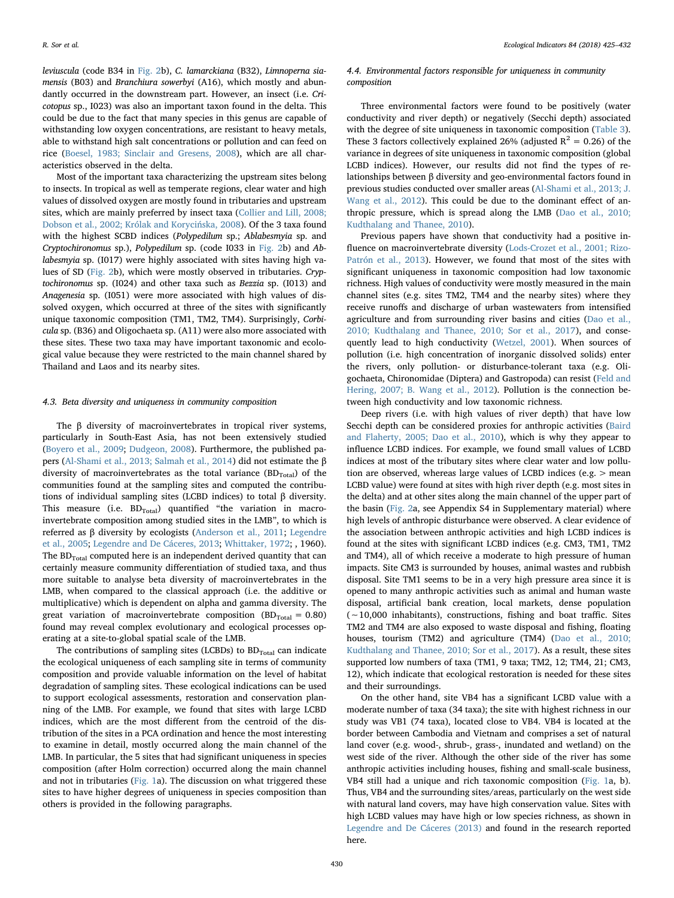leviuscula (code B34 in [Fig. 2](#page-4-0)b), C. lamarckiana (B32), Limnoperna siamensis (B03) and Branchiura sowerbyi (A16), which mostly and abundantly occurred in the downstream part. However, an insect (i.e. Cricotopus sp., I023) was also an important taxon found in the delta. This could be due to the fact that many species in this genus are capable of withstanding low oxygen concentrations, are resistant to heavy metals, able to withstand high salt concentrations or pollution and can feed on rice ([Boesel, 1983; Sinclair and Gresens, 2008\)](#page-6-6), which are all characteristics observed in the delta.

Most of the important taxa characterizing the upstream sites belong to insects. In tropical as well as temperate regions, clear water and high values of dissolved oxygen are mostly found in tributaries and upstream sites, which are mainly preferred by insect taxa [\(Collier and Lill, 2008;](#page-6-7) [Dobson et al., 2002; Królak and Koryci](#page-6-7)ńska, 2008). Of the 3 taxa found with the highest SCBD indices (Polypedilum sp.; Ablabesmyia sp. and Cryptochironomus sp.), Polypedilum sp. (code I033 in [Fig. 2b](#page-4-0)) and Ablabesmyia sp. (I017) were highly associated with sites having high values of SD ([Fig. 2b](#page-4-0)), which were mostly observed in tributaries. Cryptochironomus sp. (I024) and other taxa such as Bezzia sp. (I013) and Anagenesia sp. (I051) were more associated with high values of dissolved oxygen, which occurred at three of the sites with significantly unique taxonomic composition (TM1, TM2, TM4). Surprisingly, Corbicula sp. (B36) and Oligochaeta sp. (A11) were also more associated with these sites. These two taxa may have important taxonomic and ecological value because they were restricted to the main channel shared by Thailand and Laos and its nearby sites.

#### 4.3. Beta diversity and uniqueness in community composition

The β diversity of macroinvertebrates in tropical river systems, particularly in South-East Asia, has not been extensively studied ([Boyero et al., 2009](#page-6-8); [Dudgeon, 2008\)](#page-7-25). Furthermore, the published papers ([Al-Shami et al., 2013; Salmah et al., 2014](#page-6-2)) did not estimate the β diversity of macroinvertebrates as the total variance  $(BD<sub>Total</sub>)$  of the communities found at the sampling sites and computed the contributions of individual sampling sites (LCBD indices) to total β diversity. This measure (i.e.  $BD_{Total}$ ) quantified "the variation in macroinvertebrate composition among studied sites in the LMB", to which is referred as β diversity by ecologists ([Anderson et al., 2011](#page-6-0); [Legendre](#page-7-26) [et al., 2005;](#page-7-26) [Legendre and De Cáceres, 2013;](#page-7-0) [Whittaker, 1972](#page-7-27); , 1960). The  $BD_{Total}$  computed here is an independent derived quantity that can certainly measure community differentiation of studied taxa, and thus more suitable to analyse beta diversity of macroinvertebrates in the LMB, when compared to the classical approach (i.e. the additive or multiplicative) which is dependent on alpha and gamma diversity. The great variation of macroinvertebrate composition (BD<sub>Total</sub> = 0.80) found may reveal complex evolutionary and ecological processes operating at a site-to-global spatial scale of the LMB.

The contributions of sampling sites (LCBDs) to  $BD_{Total}$  can indicate the ecological uniqueness of each sampling site in terms of community composition and provide valuable information on the level of habitat degradation of sampling sites. These ecological indications can be used to support ecological assessments, restoration and conservation planning of the LMB. For example, we found that sites with large LCBD indices, which are the most different from the centroid of the distribution of the sites in a PCA ordination and hence the most interesting to examine in detail, mostly occurred along the main channel of the LMB. In particular, the 5 sites that had significant uniqueness in species composition (after Holm correction) occurred along the main channel and not in tributaries ([Fig. 1a](#page-2-0)). The discussion on what triggered these sites to have higher degrees of uniqueness in species composition than others is provided in the following paragraphs.

## 4.4. Environmental factors responsible for uniqueness in community composition

Three environmental factors were found to be positively (water conductivity and river depth) or negatively (Secchi depth) associated with the degree of site uniqueness in taxonomic composition [\(Table 3](#page-4-1)). These 3 factors collectively explained 26% (adjusted  $R^2 = 0.26$ ) of the variance in degrees of site uniqueness in taxonomic composition (global LCBD indices). However, our results did not find the types of relationships between β diversity and geo-environmental factors found in previous studies conducted over smaller areas [\(Al-Shami et al., 2013; J.](#page-6-2) [Wang et al., 2012\)](#page-6-2). This could be due to the dominant effect of anthropic pressure, which is spread along the LMB [\(Dao et al., 2010;](#page-6-9) [Kudthalang and Thanee, 2010](#page-6-9)).

Previous papers have shown that conductivity had a positive influence on macroinvertebrate diversity ([Lods-Crozet et al., 2001; Rizo-](#page-7-28)[Patrón et al., 2013\)](#page-7-28). However, we found that most of the sites with significant uniqueness in taxonomic composition had low taxonomic richness. High values of conductivity were mostly measured in the main channel sites (e.g. sites TM2, TM4 and the nearby sites) where they receive runoffs and discharge of urban wastewaters from intensified agriculture and from surrounding river basins and cities [\(Dao et al.,](#page-6-9) [2010; Kudthalang and Thanee, 2010; Sor et al., 2017\)](#page-6-9), and consequently lead to high conductivity [\(Wetzel, 2001\)](#page-7-29). When sources of pollution (i.e. high concentration of inorganic dissolved solids) enter the rivers, only pollution- or disturbance-tolerant taxa (e.g. Oligochaeta, Chironomidae (Diptera) and Gastropoda) can resist [\(Feld and](#page-7-30) [Hering, 2007; B. Wang et al., 2012\)](#page-7-30). Pollution is the connection between high conductivity and low taxonomic richness.

Deep rivers (i.e. with high values of river depth) that have low Secchi depth can be considered proxies for anthropic activities ([Baird](#page-6-10) [and Flaherty, 2005; Dao et al., 2010](#page-6-10)), which is why they appear to influence LCBD indices. For example, we found small values of LCBD indices at most of the tributary sites where clear water and low pollution are observed, whereas large values of LCBD indices (e.g. > mean LCBD value) were found at sites with high river depth (e.g. most sites in the delta) and at other sites along the main channel of the upper part of the basin ([Fig. 2](#page-4-0)a, see Appendix S4 in Supplementary material) where high levels of anthropic disturbance were observed. A clear evidence of the association between anthropic activities and high LCBD indices is found at the sites with significant LCBD indices (e.g. CM3, TM1, TM2 and TM4), all of which receive a moderate to high pressure of human impacts. Site CM3 is surrounded by houses, animal wastes and rubbish disposal. Site TM1 seems to be in a very high pressure area since it is opened to many anthropic activities such as animal and human waste disposal, artificial bank creation, local markets, dense population (∼10,000 inhabitants), constructions, fishing and boat traffic. Sites TM2 and TM4 are also exposed to waste disposal and fishing, floating houses, tourism (TM2) and agriculture (TM4) [\(Dao et al., 2010;](#page-6-9) [Kudthalang and Thanee, 2010; Sor et al., 2017](#page-6-9)). As a result, these sites supported low numbers of taxa (TM1, 9 taxa; TM2, 12; TM4, 21; CM3, 12), which indicate that ecological restoration is needed for these sites and their surroundings.

On the other hand, site VB4 has a significant LCBD value with a moderate number of taxa (34 taxa); the site with highest richness in our study was VB1 (74 taxa), located close to VB4. VB4 is located at the border between Cambodia and Vietnam and comprises a set of natural land cover (e.g. wood-, shrub-, grass-, inundated and wetland) on the west side of the river. Although the other side of the river has some anthropic activities including houses, fishing and small-scale business, VB4 still had a unique and rich taxonomic composition [\(Fig. 1](#page-2-0)a, b). Thus, VB4 and the surrounding sites/areas, particularly on the west side with natural land covers, may have high conservation value. Sites with high LCBD values may have high or low species richness, as shown in [Legendre and De Cáceres \(2013\)](#page-7-0) and found in the research reported here.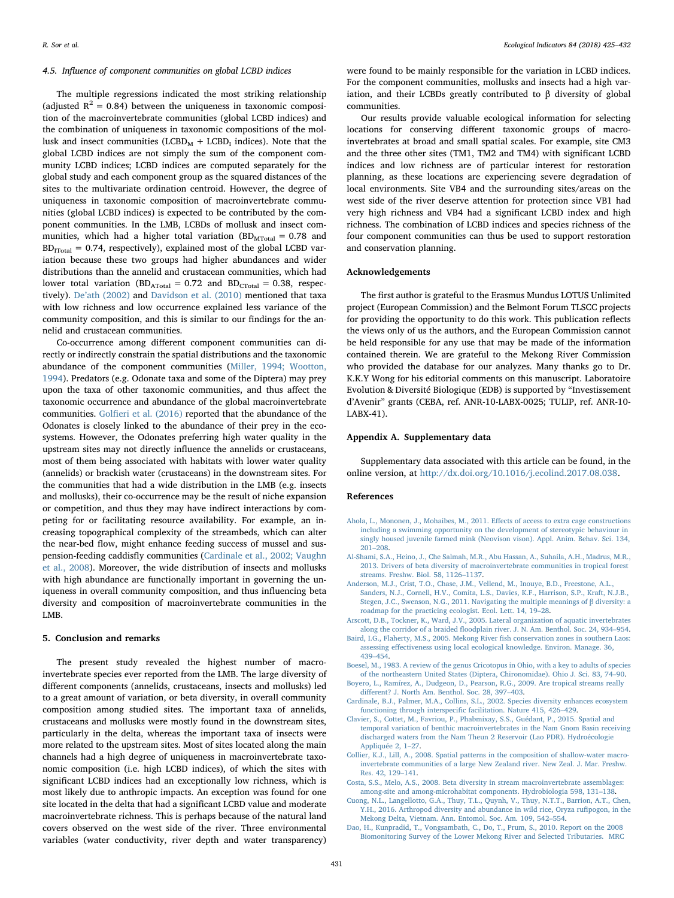#### 4.5. Influence of component communities on global LCBD indices

The multiple regressions indicated the most striking relationship (adjusted  $R^2 = 0.84$ ) between the uniqueness in taxonomic composition of the macroinvertebrate communities (global LCBD indices) and the combination of uniqueness in taxonomic compositions of the mollusk and insect communities ( $LCD_M + LCBD_I$  indices). Note that the global LCBD indices are not simply the sum of the component community LCBD indices; LCBD indices are computed separately for the global study and each component group as the squared distances of the sites to the multivariate ordination centroid. However, the degree of uniqueness in taxonomic composition of macroinvertebrate communities (global LCBD indices) is expected to be contributed by the component communities. In the LMB, LCBDs of mollusk and insect communities, which had a higher total variation  $(BD<sub>MTotal</sub> = 0.78$  and  $BD_{\text{Total}} = 0.74$ , respectively), explained most of the global LCBD variation because these two groups had higher abundances and wider distributions than the annelid and crustacean communities, which had lower total variation ( $BD<sub>ATotal</sub> = 0.72$  and  $BD<sub>CTotal</sub> = 0.38$ , respectively). De'[ath \(2002\)](#page-7-31) and [Davidson et al. \(2010\)](#page-7-32) mentioned that taxa with low richness and low occurrence explained less variance of the community composition, and this is similar to our findings for the annelid and crustacean communities.

Co-occurrence among different component communities can directly or indirectly constrain the spatial distributions and the taxonomic abundance of the component communities ([Miller, 1994; Wootton,](#page-7-33) [1994\)](#page-7-33). Predators (e.g. Odonate taxa and some of the Diptera) may prey upon the taxa of other taxonomic communities, and thus affect the taxonomic occurrence and abundance of the global macroinvertebrate communities. Golfi[eri et al. \(2016\)](#page-7-34) reported that the abundance of the Odonates is closely linked to the abundance of their prey in the ecosystems. However, the Odonates preferring high water quality in the upstream sites may not directly influence the annelids or crustaceans, most of them being associated with habitats with lower water quality (annelids) or brackish water (crustaceans) in the downstream sites. For the communities that had a wide distribution in the LMB (e.g. insects and mollusks), their co-occurrence may be the result of niche expansion or competition, and thus they may have indirect interactions by competing for or facilitating resource availability. For example, an increasing topographical complexity of the streambeds, which can alter the near-bed flow, might enhance feeding success of mussel and suspension-feeding caddisfly communities [\(Cardinale et al., 2002; Vaughn](#page-6-11) [et al., 2008](#page-6-11)). Moreover, the wide distribution of insects and mollusks with high abundance are functionally important in governing the uniqueness in overall community composition, and thus influencing beta diversity and composition of macroinvertebrate communities in the LMB.

#### 5. Conclusion and remarks

The present study revealed the highest number of macroinvertebrate species ever reported from the LMB. The large diversity of different components (annelids, crustaceans, insects and mollusks) led to a great amount of variation, or beta diversity, in overall community composition among studied sites. The important taxa of annelids, crustaceans and mollusks were mostly found in the downstream sites, particularly in the delta, whereas the important taxa of insects were more related to the upstream sites. Most of sites located along the main channels had a high degree of uniqueness in macroinvertebrate taxonomic composition (i.e. high LCBD indices), of which the sites with significant LCBD indices had an exceptionally low richness, which is most likely due to anthropic impacts. An exception was found for one site located in the delta that had a significant LCBD value and moderate macroinvertebrate richness. This is perhaps because of the natural land covers observed on the west side of the river. Three environmental variables (water conductivity, river depth and water transparency)

were found to be mainly responsible for the variation in LCBD indices. For the component communities, mollusks and insects had a high variation, and their LCBDs greatly contributed to β diversity of global communities.

Our results provide valuable ecological information for selecting locations for conserving different taxonomic groups of macroinvertebrates at broad and small spatial scales. For example, site CM3 and the three other sites (TM1, TM2 and TM4) with significant LCBD indices and low richness are of particular interest for restoration planning, as these locations are experiencing severe degradation of local environments. Site VB4 and the surrounding sites/areas on the west side of the river deserve attention for protection since VB1 had very high richness and VB4 had a significant LCBD index and high richness. The combination of LCBD indices and species richness of the four component communities can thus be used to support restoration and conservation planning.

## Acknowledgements

The first author is grateful to the Erasmus Mundus LOTUS Unlimited project (European Commission) and the Belmont Forum TLSCC projects for providing the opportunity to do this work. This publication reflects the views only of us the authors, and the European Commission cannot be held responsible for any use that may be made of the information contained therein. We are grateful to the Mekong River Commission who provided the database for our analyzes. Many thanks go to Dr. K.K.Y Wong for his editorial comments on this manuscript. Laboratoire Evolution & Diversité Biologique (EDB) is supported by "Investissement d'Avenir" grants (CEBA, ref. ANR-10-LABX-0025; TULIP, ref. ANR-10- LABX-41).

#### Appendix A. Supplementary data

Supplementary data associated with this article can be found, in the online version, at <http://dx.doi.org/10.1016/j.ecolind.2017.08.038>.

#### References

- <span id="page-6-4"></span>[Ahola, L., Mononen, J., Mohaibes, M., 2011. E](http://refhub.elsevier.com/S1470-160X(17)30528-9/sbref0005)ffects of access to extra cage constructions [including a swimming opportunity on the development of stereotypic behaviour in](http://refhub.elsevier.com/S1470-160X(17)30528-9/sbref0005) [singly housed juvenile farmed mink \(Neovison vison\). Appl. Anim. Behav. Sci. 134,](http://refhub.elsevier.com/S1470-160X(17)30528-9/sbref0005) 201–[208](http://refhub.elsevier.com/S1470-160X(17)30528-9/sbref0005).
- <span id="page-6-2"></span>[Al-Shami, S.A., Heino, J., Che Salmah, M.R., Abu Hassan, A., Suhaila, A.H., Madrus, M.R.,](http://refhub.elsevier.com/S1470-160X(17)30528-9/sbref0010) [2013. Drivers of beta diversity of macroinvertebrate communities in tropical forest](http://refhub.elsevier.com/S1470-160X(17)30528-9/sbref0010) [streams. Freshw. Biol. 58, 1126](http://refhub.elsevier.com/S1470-160X(17)30528-9/sbref0010)–1137.
- <span id="page-6-0"></span>[Anderson, M.J., Crist, T.O., Chase, J.M., Vellend, M., Inouye, B.D., Freestone, A.L.,](http://refhub.elsevier.com/S1470-160X(17)30528-9/sbref0015) [Sanders, N.J., Cornell, H.V., Comita, L.S., Davies, K.F., Harrison, S.P., Kraft, N.J.B.,](http://refhub.elsevier.com/S1470-160X(17)30528-9/sbref0015) [Stegen, J.C., Swenson, N.G., 2011. Navigating the multiple meanings of](http://refhub.elsevier.com/S1470-160X(17)30528-9/sbref0015) β diversity: a [roadmap for the practicing ecologist. Ecol. Lett. 14, 19](http://refhub.elsevier.com/S1470-160X(17)30528-9/sbref0015)–28.
- <span id="page-6-3"></span>[Arscott, D.B., Tockner, K., Ward, J.V., 2005. Lateral organization of aquatic invertebrates](http://refhub.elsevier.com/S1470-160X(17)30528-9/sbref0020) along the corridor of a braided fl[oodplain river. J. N. Am. Benthol. Soc. 24, 934](http://refhub.elsevier.com/S1470-160X(17)30528-9/sbref0020)–954.
- <span id="page-6-10"></span>[Baird, I.G., Flaherty, M.S., 2005. Mekong River](http://refhub.elsevier.com/S1470-160X(17)30528-9/sbref0025) fish conservation zones in southern Laos: assessing eff[ectiveness using local ecological knowledge. Environ. Manage. 36,](http://refhub.elsevier.com/S1470-160X(17)30528-9/sbref0025) 439–[454](http://refhub.elsevier.com/S1470-160X(17)30528-9/sbref0025).
- <span id="page-6-6"></span>[Boesel, M., 1983. A review of the genus Cricotopus in Ohio, with a key to adults of species](http://refhub.elsevier.com/S1470-160X(17)30528-9/sbref0030) [of the northeastern United States \(Diptera, Chironomidae\). Ohio J. Sci. 83, 74](http://refhub.elsevier.com/S1470-160X(17)30528-9/sbref0030)–90.
- <span id="page-6-8"></span>[Boyero, L., Ramírez, A., Dudgeon, D., Pearson, R.G., 2009. Are tropical streams really](http://refhub.elsevier.com/S1470-160X(17)30528-9/sbref0035) diff[erent? J. North Am. Benthol. Soc. 28, 397](http://refhub.elsevier.com/S1470-160X(17)30528-9/sbref0035)–403.
- <span id="page-6-11"></span>[Cardinale, B.J., Palmer, M.A., Collins, S.L., 2002. Species diversity enhances ecosystem](http://refhub.elsevier.com/S1470-160X(17)30528-9/sbref0040) functioning through interspecifi[c facilitation. Nature 415, 426](http://refhub.elsevier.com/S1470-160X(17)30528-9/sbref0040)–429.
- <span id="page-6-5"></span>[Clavier, S., Cottet, M., Favriou, P., Phabmixay, S.S., Guédant, P., 2015. Spatial and](http://refhub.elsevier.com/S1470-160X(17)30528-9/sbref0045) [temporal variation of benthic macroinvertebrates in the Nam Gnom Basin receiving](http://refhub.elsevier.com/S1470-160X(17)30528-9/sbref0045) [discharged waters from the Nam Theun 2 Reservoir \(Lao PDR\). Hydroécologie](http://refhub.elsevier.com/S1470-160X(17)30528-9/sbref0045) [Appliquée 2, 1](http://refhub.elsevier.com/S1470-160X(17)30528-9/sbref0045)–27.
- <span id="page-6-7"></span>[Collier, K.J., Lill, A., 2008. Spatial patterns in the composition of shallow-water macro](http://refhub.elsevier.com/S1470-160X(17)30528-9/sbref0050)[invertebrate communities of a large New Zealand river. New Zeal. J. Mar. Freshw.](http://refhub.elsevier.com/S1470-160X(17)30528-9/sbref0050) [Res. 42, 129](http://refhub.elsevier.com/S1470-160X(17)30528-9/sbref0050)–141.
- <span id="page-6-1"></span>[Costa, S.S., Melo, A.S., 2008. Beta diversity in stream macroinvertebrate assemblages:](http://refhub.elsevier.com/S1470-160X(17)30528-9/sbref0055) [among-site and among-microhabitat components. Hydrobiologia 598, 131](http://refhub.elsevier.com/S1470-160X(17)30528-9/sbref0055)–138.
- [Cuong, N.L., Langellotto, G.A., Thuy, T.L., Quynh, V., Thuy, N.T.T., Barrion, A.T., Chen,](http://refhub.elsevier.com/S1470-160X(17)30528-9/sbref0060) [Y.H., 2016. Arthropod diversity and abundance in wild rice, Oryza ru](http://refhub.elsevier.com/S1470-160X(17)30528-9/sbref0060)fipogon, in the [Mekong Delta, Vietnam. Ann. Entomol. Soc. Am. 109, 542](http://refhub.elsevier.com/S1470-160X(17)30528-9/sbref0060)–554.
- <span id="page-6-9"></span>[Dao, H., Kunpradid, T., Vongsambath, C., Do, T., Prum, S., 2010. Report on the 2008](http://refhub.elsevier.com/S1470-160X(17)30528-9/sbref0065) [Biomonitoring Survey of the Lower Mekong River and Selected Tributaries. MRC](http://refhub.elsevier.com/S1470-160X(17)30528-9/sbref0065)